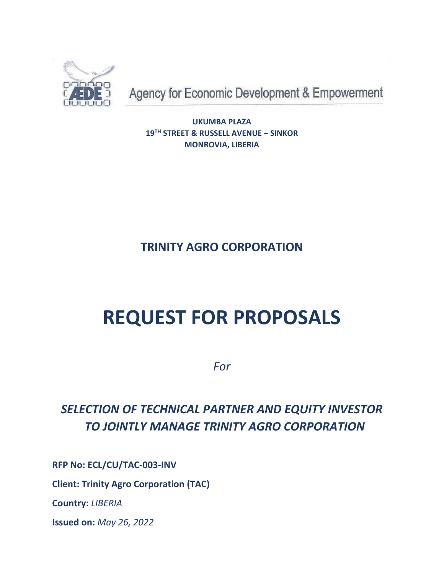

Agency for Economic Development & Empowerment

**UKUMBA PLAZA 19TH STREET & RUSSELL AVENUE – SINKOR MONROVIA, LIBERIA**

**TRINITY AGRO CORPORATION** 

# **REQUEST FOR PROPOSALS**

*For* 

## *SELECTION OF TECHNICAL PARTNER AND EQUITY INVESTOR TO JOINTLY MANAGE TRINITY AGRO CORPORATION*

**RFP No: ECL/CU/TAC-003-INV**

**Client: Trinity Agro Corporation (TAC)**

**Country:** *LIBERIA*

**Issued on:** *May 26, 2022*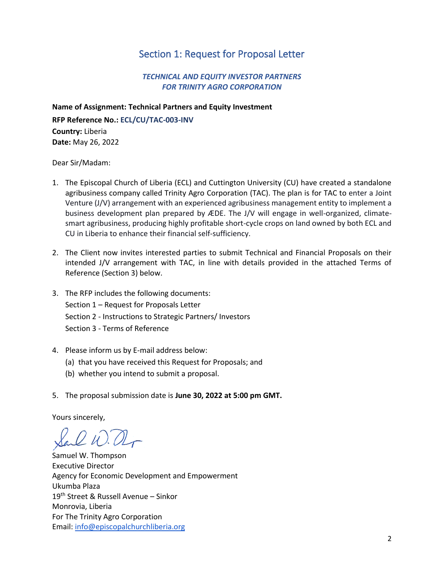#### Section 1: Request for Proposal Letter

#### *TECHNICAL AND EQUITY INVESTOR PARTNERS FOR TRINITY AGRO CORPORATION*

**Name of Assignment: Technical Partners and Equity Investment RFP Reference No.: ECL/CU/TAC-003-INV Country:** Liberia **Date:** May 26, 2022

Dear Sir/Madam:

- 1. The Episcopal Church of Liberia (ECL) and Cuttington University (CU) have created a standalone agribusiness company called Trinity Agro Corporation (TAC). The plan is for TAC to enter a Joint Venture (J/V) arrangement with an experienced agribusiness management entity to implement a business development plan prepared by ÆDE. The J/V will engage in well-organized, climatesmart agribusiness, producing highly profitable short-cycle crops on land owned by both ECL and CU in Liberia to enhance their financial self-sufficiency.
- 2. The Client now invites interested parties to submit Technical and Financial Proposals on their intended J/V arrangement with TAC, in line with details provided in the attached Terms of Reference (Section 3) below.
- 3. The RFP includes the following documents: Section 1 – Request for Proposals Letter Section 2 - Instructions to Strategic Partners/ Investors Section 3 - Terms of Reference
- 4. Please inform us by E-mail address below:
	- (a) that you have received this Request for Proposals; and
	- (b) whether you intend to submit a proposal.
- 5. The proposal submission date is **June 30, 2022 at 5:00 pm GMT.**

Yours sincerely,

Samuel W. Thompson Executive Director Agency for Economic Development and Empowerment Ukumba Plaza 19th Street & Russell Avenue – Sinkor Monrovia, Liberia For The Trinity Agro Corporation Email: [info@episcopalchurchliberia.org](mailto:info@episcopalchurchliberia.org)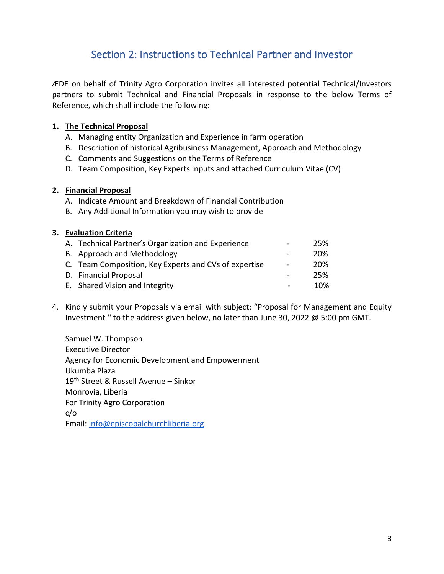## Section 2: Instructions to Technical Partner and Investor

ÆDE on behalf of Trinity Agro Corporation invites all interested potential Technical/Investors partners to submit Technical and Financial Proposals in response to the below Terms of Reference, which shall include the following:

#### **1. The Technical Proposal**

- A. Managing entity Organization and Experience in farm operation
- B. Description of historical Agribusiness Management, Approach and Methodology
- C. Comments and Suggestions on the Terms of Reference
- D. Team Composition, Key Experts Inputs and attached Curriculum Vitae (CV)

#### **2. Financial Proposal**

- A. Indicate Amount and Breakdown of Financial Contribution
- B. Any Additional Information you may wish to provide

#### **3. Evaluation Criteria**

| A. Technical Partner's Organization and Experience    | $\sim$         | 25% |
|-------------------------------------------------------|----------------|-----|
| B. Approach and Methodology                           |                | 20% |
| C. Team Composition, Key Experts and CVs of expertise | $\blacksquare$ | 20% |
| D. Financial Proposal                                 |                | 25% |
| E. Shared Vision and Integrity                        |                | 10% |

4. Kindly submit your Proposals via email with subject: "Proposal for Management and Equity Investment '' to the address given below, no later than June 30, 2022 @ 5:00 pm GMT.

Samuel W. Thompson Executive Director Agency for Economic Development and Empowerment Ukumba Plaza 19th Street & Russell Avenue – Sinkor Monrovia, Liberia For Trinity Agro Corporation c/o Email: [info@episcopalchurchliberia.org](mailto:info@episcopalchurchliberia.org)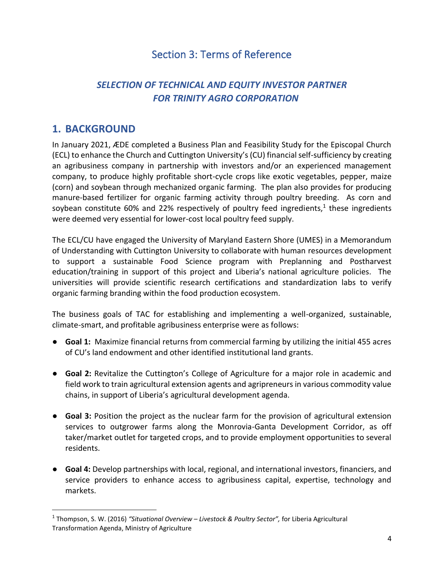## Section 3: Terms of Reference

## *SELECTION OF TECHNICAL AND EQUITY INVESTOR PARTNER FOR TRINITY AGRO CORPORATION*

## **1. BACKGROUND**

In January 2021, ÆDE completed a Business Plan and Feasibility Study for the Episcopal Church (ECL) to enhance the Church and Cuttington University's (CU) financial self-sufficiency by creating an agribusiness company in partnership with investors and/or an experienced management company, to produce highly profitable short-cycle crops like exotic vegetables, pepper, maize (corn) and soybean through mechanized organic farming. The plan also provides for producing manure-based fertilizer for organic farming activity through poultry breeding. As corn and soybean constitute 60% and 22% respectively of poultry feed ingredients,<sup>1</sup> these ingredients were deemed very essential for lower-cost local poultry feed supply.

The ECL/CU have engaged the University of Maryland Eastern Shore (UMES) in a Memorandum of Understanding with Cuttington University to collaborate with human resources development to support a sustainable Food Science program with Preplanning and Postharvest education/training in support of this project and Liberia's national agriculture policies. The universities will provide scientific research certifications and standardization labs to verify organic farming branding within the food production ecosystem.

The business goals of TAC for establishing and implementing a well-organized, sustainable, climate-smart, and profitable agribusiness enterprise were as follows:

- **Goal 1:** Maximize financial returns from commercial farming by utilizing the initial 455 acres of CU's land endowment and other identified institutional land grants.
- **Goal 2:** Revitalize the Cuttington's College of Agriculture for a major role in academic and field work to train agricultural extension agents and agripreneurs in various commodity value chains, in support of Liberia's agricultural development agenda.
- **Goal 3:** Position the project as the nuclear farm for the provision of agricultural extension services to outgrower farms along the Monrovia-Ganta Development Corridor, as off taker/market outlet for targeted crops, and to provide employment opportunities to several residents.
- **Goal 4:** Develop partnerships with local, regional, and international investors, financiers, and service providers to enhance access to agribusiness capital, expertise, technology and markets.

<sup>1</sup> Thompson, S. W. (2016) *"Situational Overview – Livestock & Poultry Sector",* for Liberia Agricultural Transformation Agenda, Ministry of Agriculture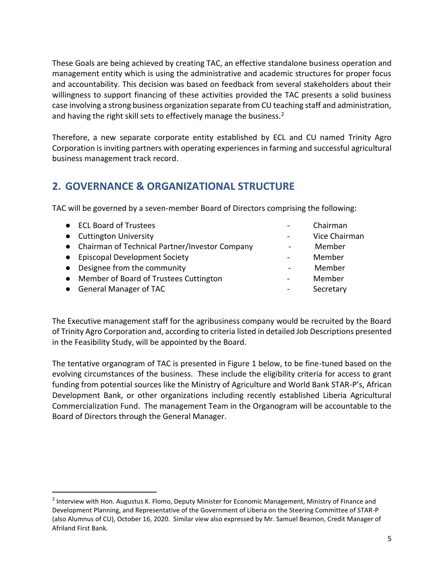These Goals are being achieved by creating TAC, an effective standalone business operation and management entity which is using the administrative and academic structures for proper focus and accountability. This decision was based on feedback from several stakeholders about their willingness to support financing of these activities provided the TAC presents a solid business case involving a strong business organization separate from CU teaching staff and administration, and having the right skill sets to effectively manage the business.<sup>2</sup>

Therefore, a new separate corporate entity established by ECL and CU named Trinity Agro Corporation is inviting partners with operating experiences in farming and successful agricultural business management track record.

## **2. GOVERNANCE & ORGANIZATIONAL STRUCTURE**

TAC will be governed by a seven-member Board of Directors comprising the following:

| • ECL Board of Trustees                          | Chairman      |
|--------------------------------------------------|---------------|
| • Cuttington University                          | Vice Chairman |
| • Chairman of Technical Partner/Investor Company | Member        |
| • Episcopal Development Society                  | Member        |
| • Designee from the community                    | Member        |
| • Member of Board of Trustees Cuttington         | Member        |
| • General Manager of TAC                         | Secretary     |

The Executive management staff for the agribusiness company would be recruited by the Board of Trinity Agro Corporation and, according to criteria listed in detailed Job Descriptions presented in the Feasibility Study, will be appointed by the Board.

The tentative organogram of TAC is presented in Figure 1 below, to be fine-tuned based on the evolving circumstances of the business. These include the eligibility criteria for access to grant funding from potential sources like the Ministry of Agriculture and World Bank STAR-P's, African Development Bank, or other organizations including recently established Liberia Agricultural Commercialization Fund. The management Team in the Organogram will be accountable to the Board of Directors through the General Manager.

<sup>&</sup>lt;sup>2</sup> Interview with Hon. Augustus K. Flomo, Deputy Minister for Economic Management, Ministry of Finance and Development Planning, and Representative of the Government of Liberia on the Steering Committee of STAR-P (also Alumnus of CU), October 16, 2020. Similar view also expressed by Mr. Samuel Beamon, Credit Manager of Afriland First Bank.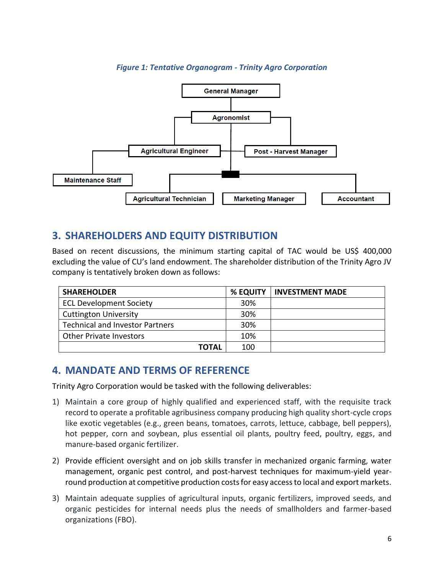#### *Figure 1: Tentative Organogram - Trinity Agro Corporation*



#### **3. SHAREHOLDERS AND EQUITY DISTRIBUTION**

Based on recent discussions, the minimum starting capital of TAC would be US\$ 400,000 excluding the value of CU's land endowment. The shareholder distribution of the Trinity Agro JV company is tentatively broken down as follows:

| <b>SHAREHOLDER</b>                     | % EQUITY | l INVESTMENT MADE |
|----------------------------------------|----------|-------------------|
| <b>ECL Development Society</b>         | 30%      |                   |
| <b>Cuttington University</b>           | 30%      |                   |
| <b>Technical and Investor Partners</b> | 30%      |                   |
| <b>Other Private Investors</b>         | 10%      |                   |
| <b>TOTAL</b>                           | 100      |                   |

#### **4. MANDATE AND TERMS OF REFERENCE**

Trinity Agro Corporation would be tasked with the following deliverables:

- 1) Maintain a core group of highly qualified and experienced staff, with the requisite track record to operate a profitable agribusiness company producing high quality short-cycle crops like exotic vegetables (e.g., green beans, tomatoes, carrots, lettuce, cabbage, bell peppers), hot pepper, corn and soybean, plus essential oil plants, poultry feed, poultry, eggs, and manure-based organic fertilizer.
- 2) Provide efficient oversight and on job skills transfer in mechanized organic farming, water management, organic pest control, and post-harvest techniques for maximum-yield yearround production at competitive production costs for easy access to local and export markets.
- 3) Maintain adequate supplies of agricultural inputs, organic fertilizers, improved seeds, and organic pesticides for internal needs plus the needs of smallholders and farmer-based organizations (FBO).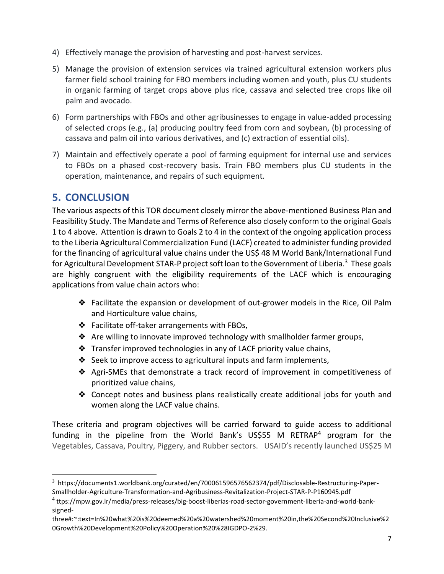- 4) Effectively manage the provision of harvesting and post-harvest services.
- 5) Manage the provision of extension services via trained agricultural extension workers plus farmer field school training for FBO members including women and youth, plus CU students in organic farming of target crops above plus rice, cassava and selected tree crops like oil palm and avocado.
- 6) Form partnerships with FBOs and other agribusinesses to engage in value-added processing of selected crops (e.g., (a) producing poultry feed from corn and soybean, (b) processing of cassava and palm oil into various derivatives, and (c) extraction of essential oils).
- 7) Maintain and effectively operate a pool of farming equipment for internal use and services to FBOs on a phased cost-recovery basis. Train FBO members plus CU students in the operation, maintenance, and repairs of such equipment.

#### **5. CONCLUSION**

The various aspects of this TOR document closely mirror the above-mentioned Business Plan and Feasibility Study. The Mandate and Terms of Reference also closely conform to the original Goals 1 to 4 above. Attention is drawn to Goals 2 to 4 in the context of the ongoing application process to the Liberia Agricultural Commercialization Fund (LACF) created to administer funding provided for the financing of agricultural value chains under the US\$ 48 M World Bank/International Fund for Agricultural Development STAR-P project soft loan to the Government of Liberia.<sup>3</sup> These goals are highly congruent with the eligibility requirements of the LACF which is encouraging applications from value chain actors who:

- ❖ Facilitate the expansion or development of out-grower models in the Rice, Oil Palm and Horticulture value chains,
- ❖ Facilitate off-taker arrangements with FBOs,
- ❖ Are willing to innovate improved technology with smallholder farmer groups,
- ❖ Transfer improved technologies in any of LACF priority value chains,
- ❖ Seek to improve access to agricultural inputs and farm implements,
- ❖ Agri-SMEs that demonstrate a track record of improvement in competitiveness of prioritized value chains,
- ❖ Concept notes and business plans realistically create additional jobs for youth and women along the LACF value chains.

These criteria and program objectives will be carried forward to guide access to additional funding in the pipeline from the World Bank's US\$55 M RETRAP<sup>4</sup> program for the Vegetables, Cassava, Poultry, Piggery, and Rubber sectors. USAID's recently launched US\$25 M

<sup>3</sup> https://documents1.worldbank.org/curated/en/700061596576562374/pdf/Disclosable-Restructuring-Paper-Smallholder-Agriculture-Transformation-and-Agribusiness-Revitalization-Project-STAR-P-P160945.pdf

<sup>4</sup> ttps://mpw.gov.lr/media/press-releases/big-boost-liberias-road-sector-government-liberia-and-world-banksigned-

three#:~:text=In%20what%20is%20deemed%20a%20watershed%20moment%20in,the%20Second%20Inclusive%2 0Growth%20Development%20Policy%20Operation%20%28IGDPO-2%29.